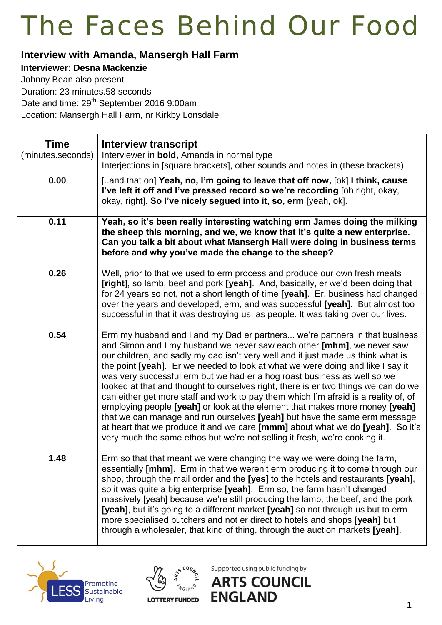#### **Interview with Amanda, Mansergh Hall Farm**

**Interviewer: Desna Mackenzie**

Johnny Bean also present

Duration: 23 minutes.58 seconds

Date and time: 29<sup>th</sup> September 2016 9:00am

Location: Mansergh Hall Farm, nr Kirkby Lonsdale

| <b>Time</b><br>(minutes.seconds) | <b>Interview transcript</b><br>Interviewer in bold, Amanda in normal type<br>Interjections in [square brackets], other sounds and notes in (these brackets)                                                                                                                                                                                                                                                                                                                                                                                                                                                                                                                                                                                                                                                                                                                                                      |
|----------------------------------|------------------------------------------------------------------------------------------------------------------------------------------------------------------------------------------------------------------------------------------------------------------------------------------------------------------------------------------------------------------------------------------------------------------------------------------------------------------------------------------------------------------------------------------------------------------------------------------------------------------------------------------------------------------------------------------------------------------------------------------------------------------------------------------------------------------------------------------------------------------------------------------------------------------|
| 0.00                             | [and that on] Yeah, no, I'm going to leave that off now, [ok] I think, cause<br>I've left it off and I've pressed record so we're recording [oh right, okay,<br>okay, right]. So I've nicely segued into it, so, erm [yeah, ok].                                                                                                                                                                                                                                                                                                                                                                                                                                                                                                                                                                                                                                                                                 |
| 0.11                             | Yeah, so it's been really interesting watching erm James doing the milking<br>the sheep this morning, and we, we know that it's quite a new enterprise.<br>Can you talk a bit about what Mansergh Hall were doing in business terms<br>before and why you've made the change to the sheep?                                                                                                                                                                                                                                                                                                                                                                                                                                                                                                                                                                                                                       |
| 0.26                             | Well, prior to that we used to erm process and produce our own fresh meats<br>[right], so lamb, beef and pork [yeah]. And, basically, er we'd been doing that<br>for 24 years so not, not a short length of time [yeah]. Er, business had changed<br>over the years and developed, erm, and was successful [yeah]. But almost too<br>successful in that it was destroying us, as people. It was taking over our lives.                                                                                                                                                                                                                                                                                                                                                                                                                                                                                           |
| 0.54                             | Erm my husband and I and my Dad er partners we're partners in that business<br>and Simon and I my husband we never saw each other [mhm], we never saw<br>our children, and sadly my dad isn't very well and it just made us think what is<br>the point [yeah]. Er we needed to look at what we were doing and like I say it<br>was very successful erm but we had er a hog roast business as well so we<br>looked at that and thought to ourselves right, there is er two things we can do we<br>can either get more staff and work to pay them which I'm afraid is a reality of, of<br>employing people [yeah] or look at the element that makes more money [yeah]<br>that we can manage and run ourselves [yeah] but have the same erm message<br>at heart that we produce it and we care [mmm] about what we do [yeah]. So it's<br>very much the same ethos but we're not selling it fresh, we're cooking it. |
| 1.48                             | Erm so that that meant we were changing the way we were doing the farm,<br>essentially [mhm]. Erm in that we weren't erm producing it to come through our<br>shop, through the mail order and the [yes] to the hotels and restaurants [yeah],<br>so it was quite a big enterprise [yeah]. Erm so, the farm hasn't changed<br>massively [yeah] because we're still producing the lamb, the beef, and the pork<br>[yeah], but it's going to a different market [yeah] so not through us but to erm<br>more specialised butchers and not er direct to hotels and shops [yeah] but<br>through a wholesaler, that kind of thing, through the auction markets [yeah].                                                                                                                                                                                                                                                  |





Supported using public funding by

**ENGLAND**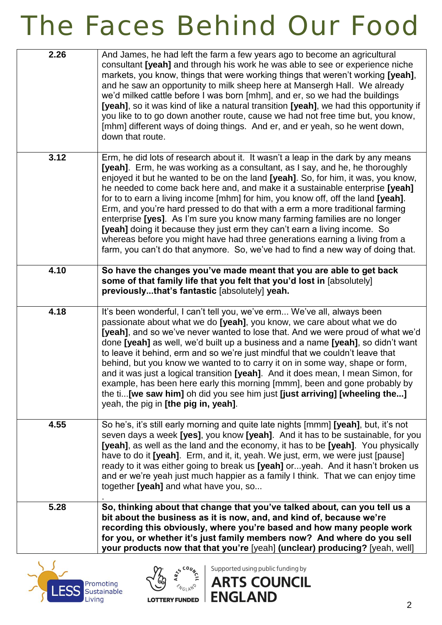| 2.26 | And James, he had left the farm a few years ago to become an agricultural<br>consultant [yeah] and through his work he was able to see or experience niche<br>markets, you know, things that were working things that weren't working [yeah],<br>and he saw an opportunity to milk sheep here at Mansergh Hall. We already<br>we'd milked cattle before I was born [mhm], and er, so we had the buildings<br>[yeah], so it was kind of like a natural transition [yeah], we had this opportunity if<br>you like to to go down another route, cause we had not free time but, you know,<br>[mhm] different ways of doing things. And er, and er yeah, so he went down,<br>down that route.                                                                                                                                                      |
|------|------------------------------------------------------------------------------------------------------------------------------------------------------------------------------------------------------------------------------------------------------------------------------------------------------------------------------------------------------------------------------------------------------------------------------------------------------------------------------------------------------------------------------------------------------------------------------------------------------------------------------------------------------------------------------------------------------------------------------------------------------------------------------------------------------------------------------------------------|
| 3.12 | Erm, he did lots of research about it. It wasn't a leap in the dark by any means<br>[yeah]. Erm, he was working as a consultant, as I say, and he, he thoroughly<br>enjoyed it but he wanted to be on the land [yeah]. So, for him, it was, you know,<br>he needed to come back here and, and make it a sustainable enterprise [yeah]<br>for to to earn a living income [mhm] for him, you know off, off the land [yeah].<br>Erm, and you're hard pressed to do that with a erm a more traditional farming<br>enterprise [yes]. As I'm sure you know many farming families are no longer<br><b>[yeah]</b> doing it because they just erm they can't earn a living income. So<br>whereas before you might have had three generations earning a living from a<br>farm, you can't do that anymore. So, we've had to find a new way of doing that. |
| 4.10 | So have the changes you've made meant that you are able to get back<br>some of that family life that you felt that you'd lost in [absolutely]<br>previouslythat's fantastic [absolutely] yeah.                                                                                                                                                                                                                                                                                                                                                                                                                                                                                                                                                                                                                                                 |
| 4.18 | It's been wonderful, I can't tell you, we've erm We've all, always been<br>passionate about what we do [yeah], you know, we care about what we do<br>[yeah], and so we've never wanted to lose that. And we were proud of what we'd<br>done [yeah] as well, we'd built up a business and a name [yeah], so didn't want<br>to leave it behind, erm and so we're just mindful that we couldn't leave that<br>behind, but you know we wanted to to carry it on in some way, shape or form,<br>and it was just a logical transition [yeah]. And it does mean, I mean Simon, for<br>example, has been here early this morning [mmm], been and gone probably by<br>the ti [we saw him] oh did you see him just [just arriving] [wheeling the]<br>yeah, the pig in [the pig in, yeah].                                                                |
| 4.55 | So he's, it's still early morning and quite late nights [mmm] [yeah], but, it's not<br>seven days a week [yes], you know [yeah]. And it has to be sustainable, for you<br>[yeah], as well as the land and the economy, it has to be [yeah]. You physically<br>have to do it [yeah]. Erm, and it, it, yeah. We just, erm, we were just [pause]<br>ready to it was either going to break us [yeah] oryeah. And it hasn't broken us<br>and er we're yeah just much happier as a family I think. That we can enjoy time<br>together [yeah] and what have you, so                                                                                                                                                                                                                                                                                   |
| 5.28 | So, thinking about that change that you've talked about, can you tell us a<br>bit about the business as it is now, and, and kind of, because we're<br>recording this obviously, where you're based and how many people work<br>for you, or whether it's just family members now? And where do you sell<br>your products now that that you're [yeah] (unclear) producing? [yeah, well]                                                                                                                                                                                                                                                                                                                                                                                                                                                          |





Supported using public funding by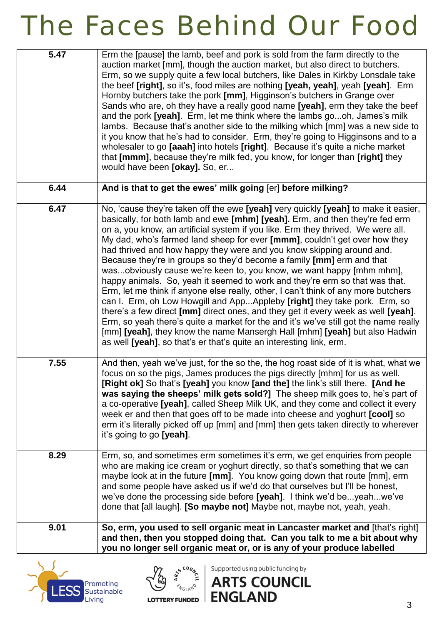| 5.47 | Erm the [pause] the lamb, beef and pork is sold from the farm directly to the<br>auction market [mm], though the auction market, but also direct to butchers.<br>Erm, so we supply quite a few local butchers, like Dales in Kirkby Lonsdale take<br>the beef [right], so it's, food miles are nothing [yeah, yeah], yeah [yeah]. Erm<br>Hornby butchers take the pork [mm], Higginson's butchers in Grange over<br>Sands who are, oh they have a really good name [yeah], erm they take the beef<br>and the pork [yeah]. Erm, let me think where the lambs gooh, James's milk<br>lambs. Because that's another side to the milking which [mm] was a new side to<br>it you know that he's had to consider. Erm, they're going to Higginsons and to a<br>wholesaler to go [aaah] into hotels [right]. Because it's quite a niche market<br>that [mmm], because they're milk fed, you know, for longer than [right] they<br>would have been [okay]. So, er                                                                                                                                                                                            |
|------|-----------------------------------------------------------------------------------------------------------------------------------------------------------------------------------------------------------------------------------------------------------------------------------------------------------------------------------------------------------------------------------------------------------------------------------------------------------------------------------------------------------------------------------------------------------------------------------------------------------------------------------------------------------------------------------------------------------------------------------------------------------------------------------------------------------------------------------------------------------------------------------------------------------------------------------------------------------------------------------------------------------------------------------------------------------------------------------------------------------------------------------------------------|
| 6.44 | And is that to get the ewes' milk going [er] before milking?                                                                                                                                                                                                                                                                                                                                                                                                                                                                                                                                                                                                                                                                                                                                                                                                                                                                                                                                                                                                                                                                                        |
| 6.47 | No, 'cause they're taken off the ewe [yeah] very quickly [yeah] to make it easier,<br>basically, for both lamb and ewe [mhm] [yeah]. Erm, and then they're fed erm<br>on a, you know, an artificial system if you like. Erm they thrived. We were all.<br>My dad, who's farmed land sheep for ever [mmm], couldn't get over how they<br>had thrived and how happy they were and you know skipping around and.<br>Because they're in groups so they'd become a family [mm] erm and that<br>wasobviously cause we're keen to, you know, we want happy [mhm mhm],<br>happy animals. So, yeah it seemed to work and they're erm so that was that.<br>Erm, let me think if anyone else really, other, I can't think of any more butchers<br>can I. Erm, oh Low Howgill and App Appleby [right] they take pork. Erm, so<br>there's a few direct [mm] direct ones, and they get it every week as well [yeah].<br>Erm, so yeah there's quite a market for the and it's we've still got the name really<br>[mm] [yeah], they know the name Mansergh Hall [mhm] [yeah] but also Hadwin<br>as well [yeah], so that's er that's quite an interesting link, erm. |
| 7.55 | And then, yeah we've just, for the so the, the hog roast side of it is what, what we<br>focus on so the pigs, James produces the pigs directly [mhm] for us as well.<br>[Right ok] So that's [yeah] you know [and the] the link's still there. [And he<br>was saying the sheeps' milk gets sold?] The sheep milk goes to, he's part of<br>a co-operative [yeah], called Sheep Milk UK, and they come and collect it every<br>week er and then that goes off to be made into cheese and yoghurt [cool] so<br>erm it's literally picked off up [mm] and [mm] then gets taken directly to wherever<br>it's going to go <b>[yeah]</b> .                                                                                                                                                                                                                                                                                                                                                                                                                                                                                                                 |
| 8.29 | Erm, so, and sometimes erm sometimes it's erm, we get enquiries from people<br>who are making ice cream or yoghurt directly, so that's something that we can<br>maybe look at in the future [mm]. You know going down that route [mm], erm<br>and some people have asked us if we'd do that ourselves but I'll be honest,<br>we've done the processing side before [yeah]. I think we'd beyeahwe've<br>done that [all laugh]. <b>[So maybe not]</b> Maybe not, maybe not, yeah, yeah.                                                                                                                                                                                                                                                                                                                                                                                                                                                                                                                                                                                                                                                               |
| 9.01 | So, erm, you used to sell organic meat in Lancaster market and [that's right]<br>and then, then you stopped doing that. Can you talk to me a bit about why<br>you no longer sell organic meat or, or is any of your produce labelled                                                                                                                                                                                                                                                                                                                                                                                                                                                                                                                                                                                                                                                                                                                                                                                                                                                                                                                |





Supported using public funding by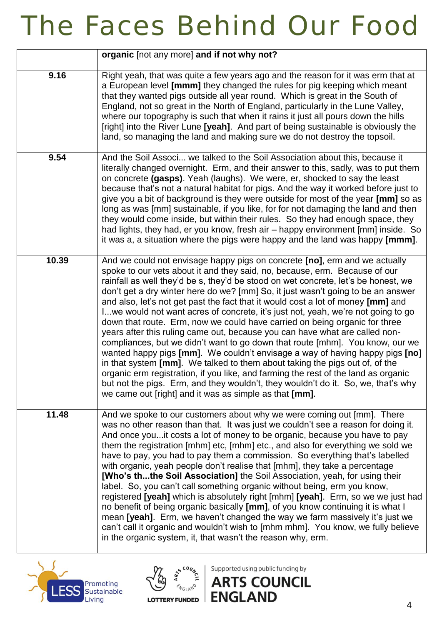|       | organic [not any more] and if not why not?                                                                                                                                                                                                                                                                                                                                                                                                                                                                                                                                                                                                                                                                                                                                                                                                                                                                                                                                                                                                                                                                                                                    |
|-------|---------------------------------------------------------------------------------------------------------------------------------------------------------------------------------------------------------------------------------------------------------------------------------------------------------------------------------------------------------------------------------------------------------------------------------------------------------------------------------------------------------------------------------------------------------------------------------------------------------------------------------------------------------------------------------------------------------------------------------------------------------------------------------------------------------------------------------------------------------------------------------------------------------------------------------------------------------------------------------------------------------------------------------------------------------------------------------------------------------------------------------------------------------------|
| 9.16  | Right yeah, that was quite a few years ago and the reason for it was erm that at<br>a European level [mmm] they changed the rules for pig keeping which meant<br>that they wanted pigs outside all year round. Which is great in the South of<br>England, not so great in the North of England, particularly in the Lune Valley,<br>where our topography is such that when it rains it just all pours down the hills<br>[right] into the River Lune [yeah]. And part of being sustainable is obviously the<br>land, so managing the land and making sure we do not destroy the topsoil.                                                                                                                                                                                                                                                                                                                                                                                                                                                                                                                                                                       |
| 9.54  | And the Soil Associ we talked to the Soil Association about this, because it<br>literally changed overnight. Erm, and their answer to this, sadly, was to put them<br>on concrete (gasps). Yeah (laughs). We were, er, shocked to say the least<br>because that's not a natural habitat for pigs. And the way it worked before just to<br>give you a bit of background is they were outside for most of the year [mm] so as<br>long as was [mm] sustainable, if you like, for for not damaging the land and then<br>they would come inside, but within their rules. So they had enough space, they<br>had lights, they had, er you know, fresh air – happy environment [mm] inside. So<br>it was a, a situation where the pigs were happy and the land was happy [mmm].                                                                                                                                                                                                                                                                                                                                                                                       |
| 10.39 | And we could not envisage happy pigs on concrete [no], erm and we actually<br>spoke to our vets about it and they said, no, because, erm. Because of our<br>rainfall as well they'd be s, they'd be stood on wet concrete, let's be honest, we<br>don't get a dry winter here do we? [mm] So, it just wasn't going to be an answer<br>and also, let's not get past the fact that it would cost a lot of money [mm] and<br>I we would not want acres of concrete, it's just not, yeah, we're not going to go<br>down that route. Erm, now we could have carried on being organic for three<br>years after this ruling came out, because you can have what are called non-<br>compliances, but we didn't want to go down that route [mhm]. You know, our we<br>wanted happy pigs [mm]. We couldn't envisage a way of having happy pigs [no]<br>in that system [mm]. We talked to them about taking the pigs out of, of the<br>organic erm registration, if you like, and farming the rest of the land as organic<br>but not the pigs. Erm, and they wouldn't, they wouldn't do it. So, we, that's why<br>we came out [right] and it was as simple as that [mm]. |
| 11.48 | And we spoke to our customers about why we were coming out [mm]. There<br>was no other reason than that. It was just we couldn't see a reason for doing it.<br>And once you it costs a lot of money to be organic, because you have to pay<br>them the registration [mhm] etc, [mhm] etc., and also for everything we sold we<br>have to pay, you had to pay them a commission. So everything that's labelled<br>with organic, yeah people don't realise that [mhm], they take a percentage<br>[Who's ththe Soil Association] the Soil Association, yeah, for using their<br>label. So, you can't call something organic without being, erm you know,<br>registered [yeah] which is absolutely right [mhm] [yeah]. Erm, so we we just had<br>no benefit of being organic basically [mm], of you know continuing it is what I<br>mean [yeah]. Erm, we haven't changed the way we farm massively it's just we<br>can't call it organic and wouldn't wish to [mhm mhm]. You know, we fully believe<br>in the organic system, it, that wasn't the reason why, erm.                                                                                                |





Supported using public funding by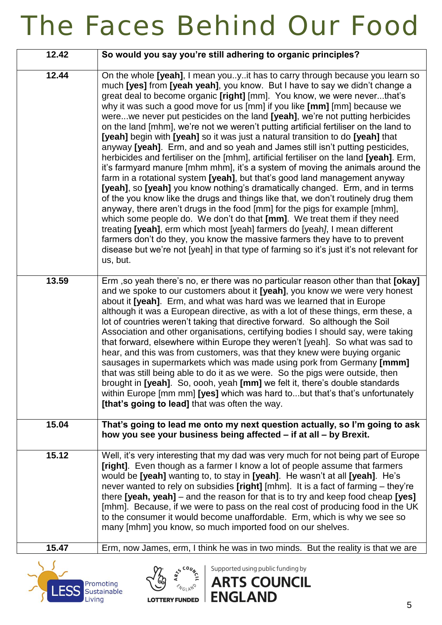| 12.42 | So would you say you're still adhering to organic principles?                                                                                                                                                                                                                                                                                                                                                                                                                                                                                                                                                                                                                                                                                                                                                                                                                                                                                                                                                                                                                                                                                                                                                                                                                                                                                                                                                                                                                                                               |
|-------|-----------------------------------------------------------------------------------------------------------------------------------------------------------------------------------------------------------------------------------------------------------------------------------------------------------------------------------------------------------------------------------------------------------------------------------------------------------------------------------------------------------------------------------------------------------------------------------------------------------------------------------------------------------------------------------------------------------------------------------------------------------------------------------------------------------------------------------------------------------------------------------------------------------------------------------------------------------------------------------------------------------------------------------------------------------------------------------------------------------------------------------------------------------------------------------------------------------------------------------------------------------------------------------------------------------------------------------------------------------------------------------------------------------------------------------------------------------------------------------------------------------------------------|
| 12.44 | On the whole [yeah], I mean youyit has to carry through because you learn so<br>much [yes] from [yeah yeah], you know. But I have to say we didn't change a<br>great deal to become organic [right] [mm]. You know, we were neverthat's<br>why it was such a good move for us [mm] if you like [mm] [mm] because we<br>werewe never put pesticides on the land [yeah], we're not putting herbicides<br>on the land [mhm], we're not we weren't putting artificial fertiliser on the land to<br>[yeah] begin with [yeah] so it was just a natural transition to do [yeah] that<br>anyway [yeah]. Erm, and and so yeah and James still isn't putting pesticides,<br>herbicides and fertiliser on the [mhm], artificial fertiliser on the land [yeah]. Erm,<br>it's farmyard manure [mhm mhm], it's a system of moving the animals around the<br>farm in a rotational system [yeah], but that's good land management anyway<br>[yeah], so [yeah] you know nothing's dramatically changed. Erm, and in terms<br>of the you know like the drugs and things like that, we don't routinely drug them<br>anyway, there aren't drugs in the food [mm] for the pigs for example [mhm],<br>which some people do. We don't do that [mm]. We treat them if they need<br>treating [yeah], erm which most [yeah] farmers do [yeah], I mean different<br>farmers don't do they, you know the massive farmers they have to to prevent<br>disease but we're not [yeah] in that type of farming so it's just it's not relevant for<br>us, but. |
| 13.59 | Erm, so yeah there's no, er there was no particular reason other than that [okay]<br>and we spoke to our customers about it [yeah], you know we were very honest<br>about it [yeah]. Erm, and what was hard was we learned that in Europe<br>although it was a European directive, as with a lot of these things, erm these, a<br>lot of countries weren't taking that directive forward. So although the Soil<br>Association and other organisations, certifying bodies I should say, were taking<br>that forward, elsewhere within Europe they weren't [yeah]. So what was sad to<br>hear, and this was from customers, was that they knew were buying organic<br>sausages in supermarkets which was made using pork from Germany [mmm]<br>that was still being able to do it as we were. So the pigs were outside, then<br>brought in [yeah]. So, oooh, yeah [mm] we felt it, there's double standards<br>within Europe [mm mm] [yes] which was hard tobut that's that's unfortunately<br>[that's going to lead] that was often the way.                                                                                                                                                                                                                                                                                                                                                                                                                                                                                 |
| 15.04 | That's going to lead me onto my next question actually, so I'm going to ask<br>how you see your business being affected - if at all - by Brexit.                                                                                                                                                                                                                                                                                                                                                                                                                                                                                                                                                                                                                                                                                                                                                                                                                                                                                                                                                                                                                                                                                                                                                                                                                                                                                                                                                                            |
| 15.12 | Well, it's very interesting that my dad was very much for not being part of Europe<br>[right]. Even though as a farmer I know a lot of people assume that farmers<br>would be [yeah] wanting to, to stay in [yeah]. He wasn't at all [yeah]. He's<br>never wanted to rely on subsidies [right] [mhm]. It is a fact of farming – they're<br>there [yeah, yeah] $-$ and the reason for that is to try and keep food cheap [yes]<br>[mhm]. Because, if we were to pass on the real cost of producing food in the UK<br>to the consumer it would become unaffordable. Erm, which is why we see so<br>many [mhm] you know, so much imported food on our shelves.                                                                                                                                                                                                                                                                                                                                                                                                                                                                                                                                                                                                                                                                                                                                                                                                                                                                 |
| 15.47 | Erm, now James, erm, I think he was in two minds. But the reality is that we are                                                                                                                                                                                                                                                                                                                                                                                                                                                                                                                                                                                                                                                                                                                                                                                                                                                                                                                                                                                                                                                                                                                                                                                                                                                                                                                                                                                                                                            |





Supported using public funding by **ARTS COUNCIL**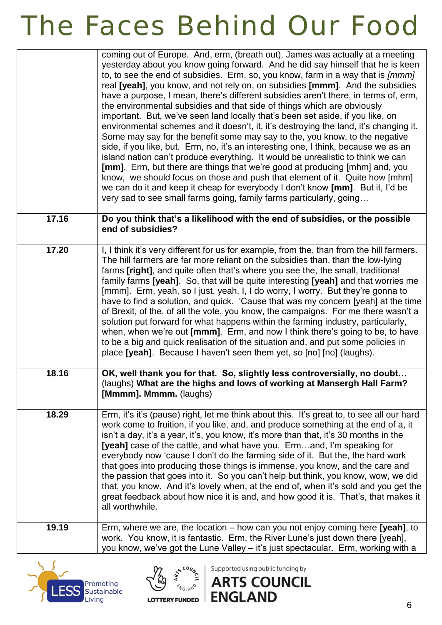|       | coming out of Europe. And, erm, (breath out), James was actually at a meeting<br>yesterday about you know going forward. And he did say himself that he is keen<br>to, to see the end of subsidies. Erm, so, you know, farm in a way that is [mmm]<br>real [yeah], you know, and not rely on, on subsidies [mmm]. And the subsidies<br>have a purpose, I mean, there's different subsidies aren't there, in terms of, erm,<br>the environmental subsidies and that side of things which are obviously<br>important. But, we've seen land locally that's been set aside, if you like, on<br>environmental schemes and it doesn't, it, it's destroying the land, it's changing it.<br>Some may say for the benefit some may say to the, you know, to the negative<br>side, if you like, but. Erm, no, it's an interesting one, I think, because we as an<br>island nation can't produce everything. It would be unrealistic to think we can<br>[mm]. Erm, but there are things that we're good at producing [mhm] and, you<br>know, we should focus on those and push that element of it. Quite how [mhm]<br>we can do it and keep it cheap for everybody I don't know [mm]. But it, I'd be<br>very sad to see small farms going, family farms particularly, going |
|-------|------------------------------------------------------------------------------------------------------------------------------------------------------------------------------------------------------------------------------------------------------------------------------------------------------------------------------------------------------------------------------------------------------------------------------------------------------------------------------------------------------------------------------------------------------------------------------------------------------------------------------------------------------------------------------------------------------------------------------------------------------------------------------------------------------------------------------------------------------------------------------------------------------------------------------------------------------------------------------------------------------------------------------------------------------------------------------------------------------------------------------------------------------------------------------------------------------------------------------------------------------------------|
| 17.16 | Do you think that's a likelihood with the end of subsidies, or the possible<br>end of subsidies?                                                                                                                                                                                                                                                                                                                                                                                                                                                                                                                                                                                                                                                                                                                                                                                                                                                                                                                                                                                                                                                                                                                                                                 |
| 17.20 | I, I think it's very different for us for example, from the, than from the hill farmers.<br>The hill farmers are far more reliant on the subsidies than, than the low-lying<br>farms [right], and quite often that's where you see the, the small, traditional<br>family farms [yeah]. So, that will be quite interesting [yeah] and that worries me<br>[mmm]. Erm, yeah, so I just, yeah, I, I do worry, I worry. But they're gonna to<br>have to find a solution, and quick. 'Cause that was my concern [yeah] at the time<br>of Brexit, of the, of all the vote, you know, the campaigns. For me there wasn't a<br>solution put forward for what happens within the farming industry, particularly,<br>when, when we're out [mmm]. Erm, and now I think there's going to be, to have<br>to be a big and quick realisation of the situation and, and put some policies in<br>place [yeah]. Because I haven't seen them yet, so [no] [no] (laughs).                                                                                                                                                                                                                                                                                                             |
| 18.16 | OK, well thank you for that. So, slightly less controversially, no doubt<br>(laughs) What are the highs and lows of working at Mansergh Hall Farm?<br>[Mmmm]. Mmmm. (laughs)                                                                                                                                                                                                                                                                                                                                                                                                                                                                                                                                                                                                                                                                                                                                                                                                                                                                                                                                                                                                                                                                                     |
| 18.29 | Erm, it's it's (pause) right, let me think about this. It's great to, to see all our hard<br>work come to fruition, if you like, and, and produce something at the end of a, it<br>isn't a day, it's a year, it's, you know, it's more than that, it's 30 months in the<br>[yeah] case of the cattle, and what have you. Ermand, I'm speaking for<br>everybody now 'cause I don't do the farming side of it. But the, the hard work<br>that goes into producing those things is immense, you know, and the care and<br>the passion that goes into it. So you can't help but think, you know, wow, we did<br>that, you know. And it's lovely when, at the end of, when it's sold and you get the<br>great feedback about how nice it is and, and how good it is. That's, that makes it<br>all worthwhile.                                                                                                                                                                                                                                                                                                                                                                                                                                                         |
| 19.19 | Erm, where we are, the location $-$ how can you not enjoy coming here [yeah], to<br>work. You know, it is fantastic. Erm, the River Lune's just down there [yeah],<br>you know, we've got the Lune Valley - it's just spectacular. Erm, working with a                                                                                                                                                                                                                                                                                                                                                                                                                                                                                                                                                                                                                                                                                                                                                                                                                                                                                                                                                                                                           |





Supported using public funding by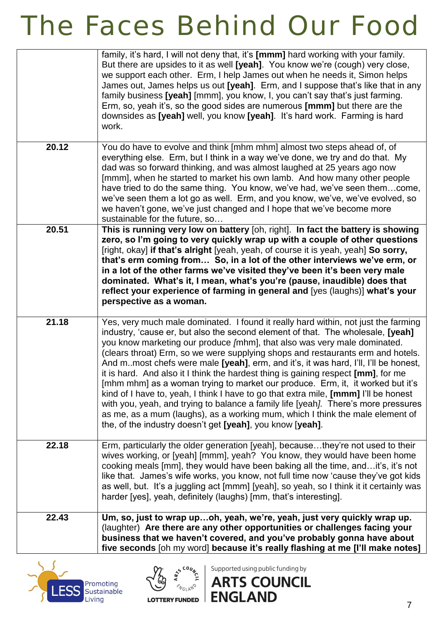|       | family, it's hard, I will not deny that, it's [mmm] hard working with your family.<br>But there are upsides to it as well [yeah]. You know we're (cough) very close,<br>we support each other. Erm, I help James out when he needs it, Simon helps<br>James out, James helps us out [yeah]. Erm, and I suppose that's like that in any<br>family business [yeah] [mmm], you know, I, you can't say that's just farming.<br>Erm, so, yeah it's, so the good sides are numerous [mmm] but there are the<br>downsides as [yeah] well, you know [yeah]. It's hard work. Farming is hard<br>work.                                                                                                                                                                                                                                                                                                                                    |
|-------|---------------------------------------------------------------------------------------------------------------------------------------------------------------------------------------------------------------------------------------------------------------------------------------------------------------------------------------------------------------------------------------------------------------------------------------------------------------------------------------------------------------------------------------------------------------------------------------------------------------------------------------------------------------------------------------------------------------------------------------------------------------------------------------------------------------------------------------------------------------------------------------------------------------------------------|
| 20.12 | You do have to evolve and think [mhm mhm] almost two steps ahead of, of<br>everything else. Erm, but I think in a way we've done, we try and do that. My<br>dad was so forward thinking, and was almost laughed at 25 years ago now<br>[mmm], when he started to market his own lamb. And how many other people<br>have tried to do the same thing. You know, we've had, we've seen themcome,<br>we've seen them a lot go as well. Erm, and you know, we've, we've evolved, so<br>we haven't gone, we've just changed and I hope that we've become more<br>sustainable for the future, so                                                                                                                                                                                                                                                                                                                                       |
| 20.51 | This is running very low on battery [oh, right]. In fact the battery is showing<br>zero, so I'm going to very quickly wrap up with a couple of other questions<br>[right, okay] if that's alright [yeah, yeah, of course it is yeah, yeah] So sorry,<br>that's erm coming from So, in a lot of the other interviews we've erm, or<br>in a lot of the other farms we've visited they've been it's been very male<br>dominated. What's it, I mean, what's you're (pause, inaudible) does that<br>reflect your experience of farming in general and [yes (laughs)] what's your<br>perspective as a woman.                                                                                                                                                                                                                                                                                                                          |
| 21.18 | Yes, very much male dominated. I found it really hard within, not just the farming<br>industry, 'cause er, but also the second element of that. The wholesale, [yeah]<br>you know marketing our produce /mhm], that also was very male dominated.<br>(clears throat) Erm, so we were supplying shops and restaurants erm and hotels.<br>And m. most chefs were male [yeah], erm, and it's, it was hard, I'll, I'll be honest,<br>it is hard. And also it I think the hardest thing is gaining respect [mm], for me<br>[mhm mhm] as a woman trying to market our produce. Erm, it, it worked but it's<br>kind of I have to, yeah, I think I have to go that extra mile, [mmm] I'll be honest<br>with you, yeah, and trying to balance a family life [yeah]. There's more pressures<br>as me, as a mum (laughs), as a working mum, which I think the male element of<br>the, of the industry doesn't get [yeah], you know [yeah]. |
| 22.18 | Erm, particularly the older generation [yeah], becausethey're not used to their<br>wives working, or [yeah] [mmm], yeah? You know, they would have been home<br>cooking meals [mm], they would have been baking all the time, andit's, it's not<br>like that. James's wife works, you know, not full time now 'cause they've got kids<br>as well, but. It's a juggling act [mmm] [yeah], so yeah, so I think it it certainly was<br>harder [yes], yeah, definitely (laughs) [mm, that's interesting].                                                                                                                                                                                                                                                                                                                                                                                                                           |
| 22.43 | Um, so, just to wrap upoh, yeah, we're, yeah, just very quickly wrap up.<br>(laughter) Are there are any other opportunities or challenges facing your<br>business that we haven't covered, and you've probably gonna have about<br>five seconds [oh my word] because it's really flashing at me [I'll make notes]                                                                                                                                                                                                                                                                                                                                                                                                                                                                                                                                                                                                              |





Supported using public funding by